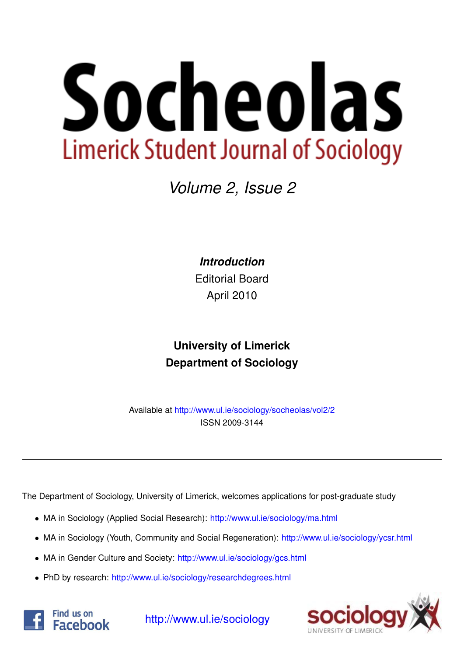# Socheolas **Limerick Student Journal of Sociology**

## *Volume 2, Issue 2*

*Introduction*

Editorial Board April 2010

## **University of Limerick Department of Sociology**

Available at <http://www.ul.ie/sociology/socheolas/vol2/2> ISSN 2009-3144

The Department of Sociology, University of Limerick, welcomes applications for post-graduate study

- MA in Sociology (Applied Social Research): [http://www.ul.ie/sociology/ma.html](http://www.ul.ie/sociology/ma.html?source=socheolas)
- MA in Sociology (Youth, Community and Social Regeneration): [http://www.ul.ie/sociology/ycsr.html](http://www.ul.ie/sociology/ycsr.html?source=socheolas)
- MA in Gender Culture and Society: [http://www.ul.ie/sociology/gcs.html](http://www.ul.ie/sociology/gcs.html?source=socheolas)
- PhD by research: [http://www.ul.ie/sociology/researchdegrees.html](http://www.ul.ie/sociology/researchdegrees.html?source=socheolas)





[http://www.ul.ie/sociology](http://www.ul.ie/sociology/?source=socheolas)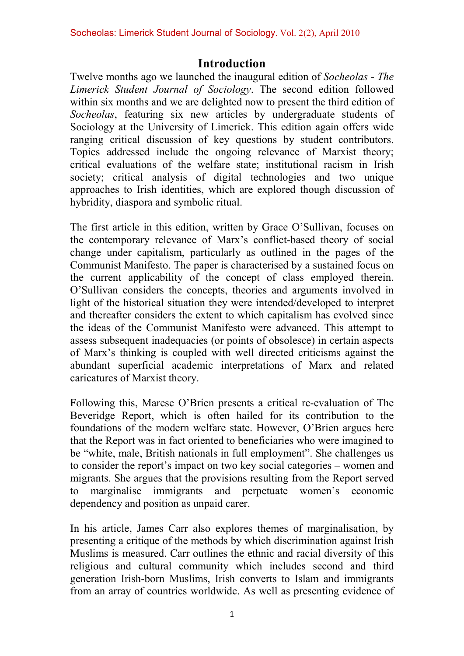### **Introduction**

Twelve months ago we launched the inaugural edition of *Socheolas - The Limerick Student Journal of Sociology*. The second edition followed within six months and we are delighted now to present the third edition of *Socheolas*, featuring six new articles by undergraduate students of Sociology at the University of Limerick. This edition again offers wide ranging critical discussion of key questions by student contributors. Topics addressed include the ongoing relevance of Marxist theory; critical evaluations of the welfare state; institutional racism in Irish society; critical analysis of digital technologies and two unique approaches to Irish identities, which are explored though discussion of hybridity, diaspora and symbolic ritual.

The first article in this edition, written by Grace O'Sullivan, focuses on the contemporary relevance of Marx's conflict-based theory of social change under capitalism, particularly as outlined in the pages of the Communist Manifesto. The paper is characterised by a sustained focus on the current applicability of the concept of class employed therein. O'Sullivan considers the concepts, theories and arguments involved in light of the historical situation they were intended/developed to interpret and thereafter considers the extent to which capitalism has evolved since the ideas of the Communist Manifesto were advanced. This attempt to assess subsequent inadequacies (or points of obsolesce) in certain aspects of Marx's thinking is coupled with well directed criticisms against the abundant superficial academic interpretations of Marx and related caricatures of Marxist theory.

Following this, Marese O'Brien presents a critical re-evaluation of The Beveridge Report, which is often hailed for its contribution to the foundations of the modern welfare state. However, O'Brien argues here that the Report was in fact oriented to beneficiaries who were imagined to be "white, male, British nationals in full employment". She challenges us to consider the report's impact on two key social categories – women and migrants. She argues that the provisions resulting from the Report served to marginalise immigrants and perpetuate women's economic dependency and position as unpaid carer.

In his article, James Carr also explores themes of marginalisation, by presenting a critique of the methods by which discrimination against Irish Muslims is measured. Carr outlines the ethnic and racial diversity of this religious and cultural community which includes second and third generation Irish-born Muslims, Irish converts to Islam and immigrants from an array of countries worldwide. As well as presenting evidence of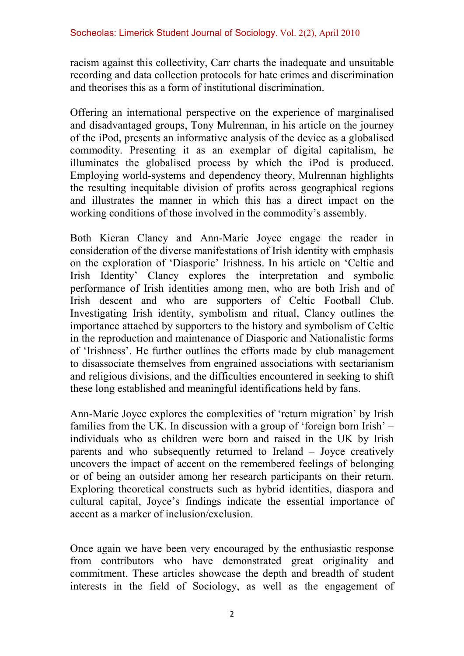racism against this collectivity, Carr charts the inadequate and unsuitable recording and data collection protocols for hate crimes and discrimination and theorises this as a form of institutional discrimination.

Offering an international perspective on the experience of marginalised and disadvantaged groups, Tony Mulrennan, in his article on the journey of the iPod, presents an informative analysis of the device as a globalised commodity. Presenting it as an exemplar of digital capitalism, he illuminates the globalised process by which the iPod is produced. Employing world-systems and dependency theory, Mulrennan highlights the resulting inequitable division of profits across geographical regions and illustrates the manner in which this has a direct impact on the working conditions of those involved in the commodity's assembly.

Both Kieran Clancy and Ann-Marie Joyce engage the reader in consideration of the diverse manifestations of Irish identity with emphasis on the exploration of 'Diasporic' Irishness. In his article on 'Celtic and Irish Identity' Clancy explores the interpretation and symbolic performance of Irish identities among men, who are both Irish and of Irish descent and who are supporters of Celtic Football Club. Investigating Irish identity, symbolism and ritual, Clancy outlines the importance attached by supporters to the history and symbolism of Celtic in the reproduction and maintenance of Diasporic and Nationalistic forms of 'Irishness'. He further outlines the efforts made by club management to disassociate themselves from engrained associations with sectarianism and religious divisions, and the difficulties encountered in seeking to shift these long established and meaningful identifications held by fans.

Ann-Marie Joyce explores the complexities of 'return migration' by Irish families from the UK. In discussion with a group of 'foreign born Irish' – individuals who as children were born and raised in the UK by Irish parents and who subsequently returned to Ireland – Joyce creatively uncovers the impact of accent on the remembered feelings of belonging or of being an outsider among her research participants on their return. Exploring theoretical constructs such as hybrid identities, diaspora and cultural capital, Joyce's findings indicate the essential importance of accent as a marker of inclusion/exclusion.

Once again we have been very encouraged by the enthusiastic response from contributors who have demonstrated great originality and commitment. These articles showcase the depth and breadth of student interests in the field of Sociology, as well as the engagement of